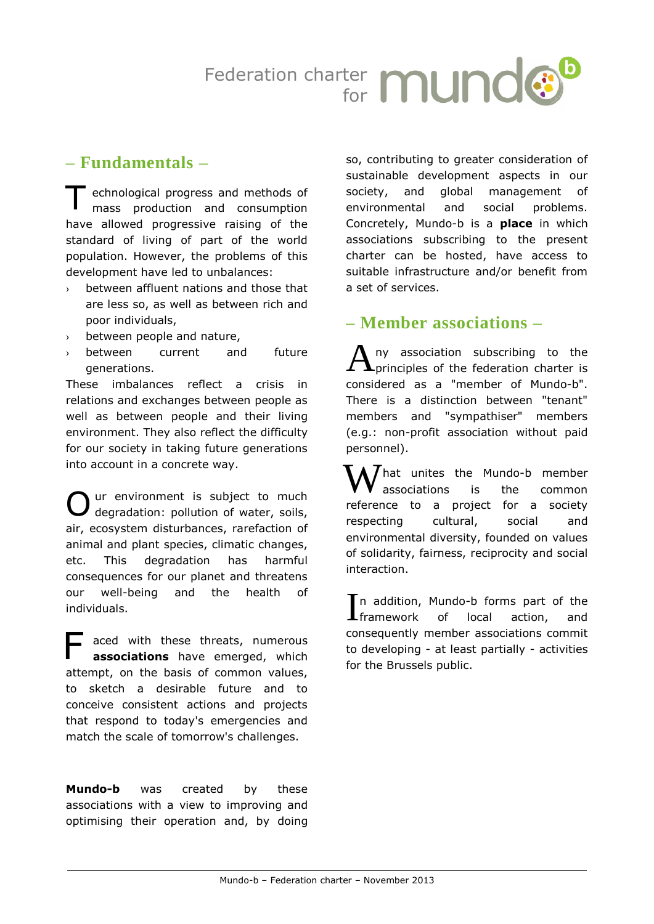

## **– Fundamentals –**

echnological progress and methods of mass production and consumption have allowed progressive raising of the standard of living of part of the world population. However, the problems of this development have led to unbalances: T

- $\rightarrow$  between affluent nations and those that are less so, as well as between rich and poor individuals,
- › between people and nature,
- › between current and future generations.

These imbalances reflect a crisis in relations and exchanges between people as well as between people and their living environment. They also reflect the difficulty for our society in taking future generations into account in a concrete way.

ur environment is subject to much degradation: pollution of water, soils, air, ecosystem disturbances, rarefaction of animal and plant species, climatic changes, etc. This degradation has harmful consequences for our planet and threatens our well-being and the health of individuals. O

aced with these threats, numerous **associations** have emerged, which attempt, on the basis of common values, to sketch a desirable future and to conceive consistent actions and projects that respond to today's emergencies and match the scale of tomorrow's challenges. F

**Mundo-b** was created by these associations with a view to improving and optimising their operation and, by doing so, contributing to greater consideration of sustainable development aspects in our society, and global management of environmental and social problems. Concretely, Mundo-b is a **place** in which associations subscribing to the present charter can be hosted, have access to suitable infrastructure and/or benefit from a set of services.

## **– Member associations –**

ny association subscribing to the  $\blacktriangle$ principles of the federation charter is considered as a "member of Mundo-b". There is a distinction between "tenant" members and "sympathiser" members (e.g.: non-profit association without paid personnel). A

hat unites the Mundo-b member associations is the common reference to a project for a society respecting cultural, social and environmental diversity, founded on values of solidarity, fairness, reciprocity and social interaction. W

In addition, Mundo-b forms part of the<br>Intramework of local action, and  $\blacksquare$ framework of local action, and consequently member associations commit to developing - at least partially - activities for the Brussels public.